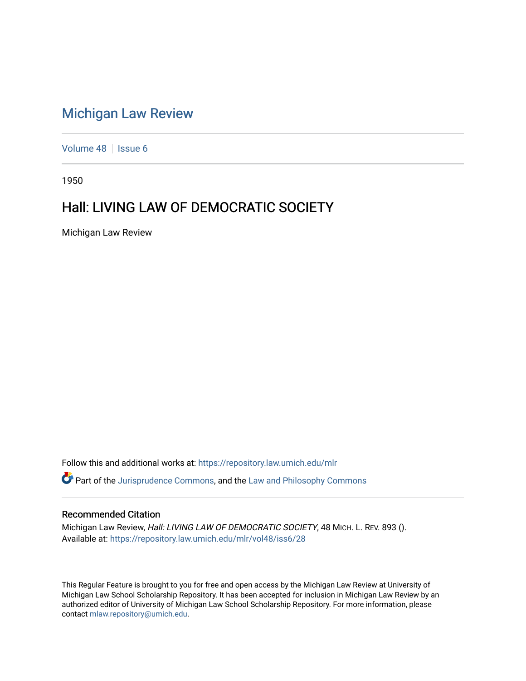## [Michigan Law Review](https://repository.law.umich.edu/mlr)

[Volume 48](https://repository.law.umich.edu/mlr/vol48) | [Issue 6](https://repository.law.umich.edu/mlr/vol48/iss6)

1950

## Hall: LIVING LAW OF DEMOCRATIC SOCIETY

Michigan Law Review

Follow this and additional works at: [https://repository.law.umich.edu/mlr](https://repository.law.umich.edu/mlr?utm_source=repository.law.umich.edu%2Fmlr%2Fvol48%2Fiss6%2F28&utm_medium=PDF&utm_campaign=PDFCoverPages) 

Part of the [Jurisprudence Commons](http://network.bepress.com/hgg/discipline/610?utm_source=repository.law.umich.edu%2Fmlr%2Fvol48%2Fiss6%2F28&utm_medium=PDF&utm_campaign=PDFCoverPages), and the [Law and Philosophy Commons](http://network.bepress.com/hgg/discipline/1299?utm_source=repository.law.umich.edu%2Fmlr%2Fvol48%2Fiss6%2F28&utm_medium=PDF&utm_campaign=PDFCoverPages) 

## Recommended Citation

Michigan Law Review, Hall: LIVING LAW OF DEMOCRATIC SOCIETY, 48 MICH. L. REV. 893 (). Available at: [https://repository.law.umich.edu/mlr/vol48/iss6/28](https://repository.law.umich.edu/mlr/vol48/iss6/28?utm_source=repository.law.umich.edu%2Fmlr%2Fvol48%2Fiss6%2F28&utm_medium=PDF&utm_campaign=PDFCoverPages) 

This Regular Feature is brought to you for free and open access by the Michigan Law Review at University of Michigan Law School Scholarship Repository. It has been accepted for inclusion in Michigan Law Review by an authorized editor of University of Michigan Law School Scholarship Repository. For more information, please contact [mlaw.repository@umich.edu](mailto:mlaw.repository@umich.edu).